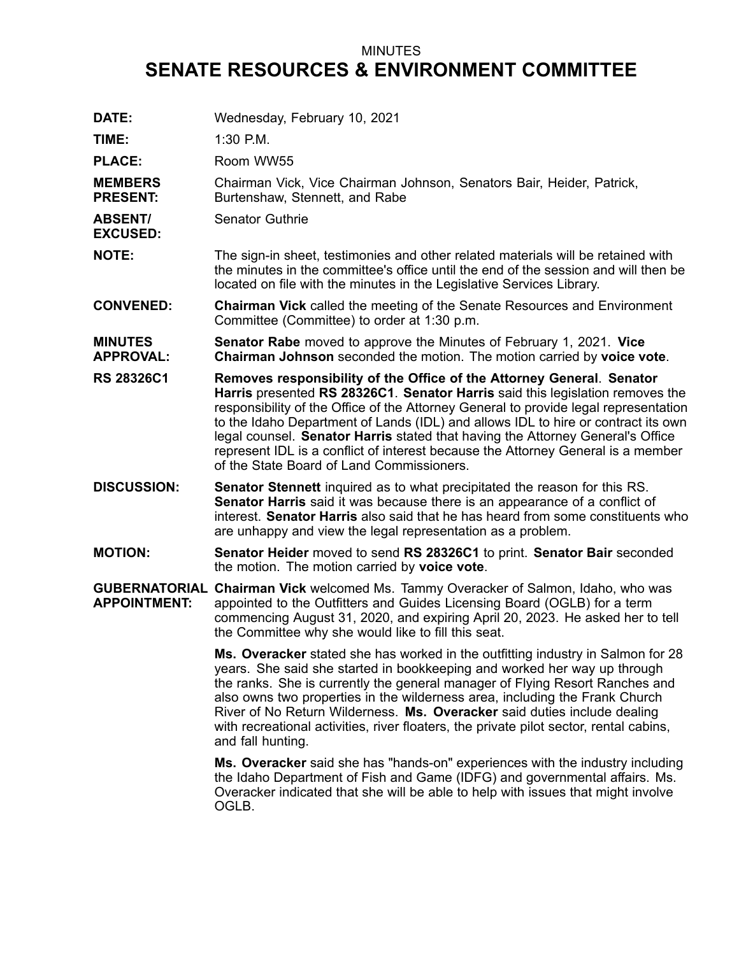## MINUTES **SENATE RESOURCES & ENVIRONMENT COMMITTEE**

| DATE:                              | Wednesday, February 10, 2021                                                                                                                                                                                                                                                                                                                                                                                                                                                                                                                           |
|------------------------------------|--------------------------------------------------------------------------------------------------------------------------------------------------------------------------------------------------------------------------------------------------------------------------------------------------------------------------------------------------------------------------------------------------------------------------------------------------------------------------------------------------------------------------------------------------------|
| TIME:                              | 1:30 P.M.                                                                                                                                                                                                                                                                                                                                                                                                                                                                                                                                              |
| <b>PLACE:</b>                      | Room WW55                                                                                                                                                                                                                                                                                                                                                                                                                                                                                                                                              |
| <b>MEMBERS</b><br><b>PRESENT:</b>  | Chairman Vick, Vice Chairman Johnson, Senators Bair, Heider, Patrick,<br>Burtenshaw, Stennett, and Rabe                                                                                                                                                                                                                                                                                                                                                                                                                                                |
| <b>ABSENT/</b><br><b>EXCUSED:</b>  | <b>Senator Guthrie</b>                                                                                                                                                                                                                                                                                                                                                                                                                                                                                                                                 |
| <b>NOTE:</b>                       | The sign-in sheet, testimonies and other related materials will be retained with<br>the minutes in the committee's office until the end of the session and will then be<br>located on file with the minutes in the Legislative Services Library.                                                                                                                                                                                                                                                                                                       |
| <b>CONVENED:</b>                   | <b>Chairman Vick</b> called the meeting of the Senate Resources and Environment<br>Committee (Committee) to order at 1:30 p.m.                                                                                                                                                                                                                                                                                                                                                                                                                         |
| <b>MINUTES</b><br><b>APPROVAL:</b> | <b>Senator Rabe</b> moved to approve the Minutes of February 1, 2021. Vice<br>Chairman Johnson seconded the motion. The motion carried by voice vote.                                                                                                                                                                                                                                                                                                                                                                                                  |
| <b>RS 28326C1</b>                  | Removes responsibility of the Office of the Attorney General. Senator<br>Harris presented RS 28326C1. Senator Harris said this legislation removes the<br>responsibility of the Office of the Attorney General to provide legal representation<br>to the Idaho Department of Lands (IDL) and allows IDL to hire or contract its own<br>legal counsel. Senator Harris stated that having the Attorney General's Office<br>represent IDL is a conflict of interest because the Attorney General is a member<br>of the State Board of Land Commissioners. |
| <b>DISCUSSION:</b>                 | <b>Senator Stennett</b> inquired as to what precipitated the reason for this RS.<br>Senator Harris said it was because there is an appearance of a conflict of<br>interest. Senator Harris also said that he has heard from some constituents who<br>are unhappy and view the legal representation as a problem.                                                                                                                                                                                                                                       |
| <b>MOTION:</b>                     | Senator Heider moved to send RS 28326C1 to print. Senator Bair seconded<br>the motion. The motion carried by voice vote.                                                                                                                                                                                                                                                                                                                                                                                                                               |
| <b>APPOINTMENT:</b>                | <b>GUBERNATORIAL Chairman Vick</b> welcomed Ms. Tammy Overacker of Salmon, Idaho, who was<br>appointed to the Outfitters and Guides Licensing Board (OGLB) for a term<br>commencing August 31, 2020, and expiring April 20, 2023. He asked her to tell<br>the Committee why she would like to fill this seat.                                                                                                                                                                                                                                          |
|                                    | Ms. Overacker stated she has worked in the outfitting industry in Salmon for 28<br>years. She said she started in bookkeeping and worked her way up through<br>the ranks. She is currently the general manager of Flying Resort Ranches and<br>also owns two properties in the wilderness area, including the Frank Church<br>River of No Return Wilderness. Ms. Overacker said duties include dealing<br>with recreational activities, river floaters, the private pilot sector, rental cabins,<br>and fall hunting.                                  |
|                                    | Ms. Overacker said she has "hands-on" experiences with the industry including<br>the Idaho Department of Fish and Game (IDFG) and governmental affairs. Ms.<br>Overacker indicated that she will be able to help with issues that might involve<br>OGLB.                                                                                                                                                                                                                                                                                               |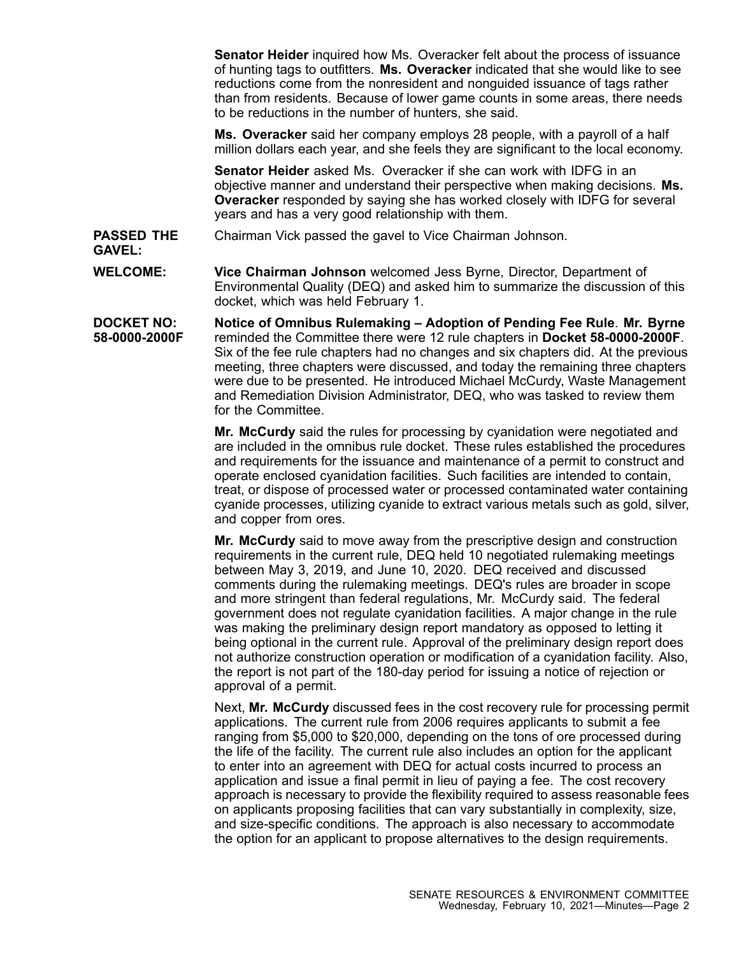**Senator Heider** inquired how Ms. Overacker felt about the process of issuance of hunting tags to outfitters. **Ms. Overacker** indicated that she would like to see reductions come from the nonresident and nonguided issuance of tags rather than from residents. Because of lower game counts in some areas, there needs to be reductions in the number of hunters, she said.

**Ms. Overacker** said her company employs 28 people, with <sup>a</sup> payroll of <sup>a</sup> half million dollars each year, and she feels they are significant to the local economy.

**Senator Heider** asked Ms. Overacker if she can work with IDFG in an objective manner and understand their perspective when making decisions. **Ms. Overacker** responded by saying she has worked closely with IDFG for several years and has <sup>a</sup> very good relationship with them.

**PASSED THE** Chairman Vick passed the gavel to Vice Chairman Johnson.

**GAVEL:**

**WELCOME: Vice Chairman Johnson** welcomed Jess Byrne, Director, Department of Environmental Quality (DEQ) and asked him to summarize the discussion of this docket, which was held February 1.

**DOCKET NO: 58-0000-2000F Notice of Omnibus Rulemaking – Adoption of Pending Fee Rule**. **Mr. Byrne** reminded the Committee there were 12 rule chapters in **Docket 58-0000-2000F**. Six of the fee rule chapters had no changes and six chapters did. At the previous meeting, three chapters were discussed, and today the remaining three chapters were due to be presented. He introduced Michael McCurdy, Waste Management and Remediation Division Administrator, DEQ, who was tasked to review them for the Committee.

> **Mr. McCurdy** said the rules for processing by cyanidation were negotiated and are included in the omnibus rule docket. These rules established the procedures and requirements for the issuance and maintenance of <sup>a</sup> permit to construct and operate enclosed cyanidation facilities. Such facilities are intended to contain, treat, or dispose of processed water or processed contaminated water containing cyanide processes, utilizing cyanide to extract various metals such as gold, silver, and copper from ores.

> **Mr. McCurdy** said to move away from the prescriptive design and construction requirements in the current rule, DEQ held 10 negotiated rulemaking meetings between May 3, 2019, and June 10, 2020. DEQ received and discussed comments during the rulemaking meetings. DEQ's rules are broader in scope and more stringent than federal regulations, Mr. McCurdy said. The federal government does not regulate cyanidation facilities. A major change in the rule was making the preliminary design report mandatory as opposed to letting it being optional in the current rule. Approval of the preliminary design report does not authorize construction operation or modification of <sup>a</sup> cyanidation facility. Also, the report is not part of the 180-day period for issuing <sup>a</sup> notice of rejection or approval of <sup>a</sup> permit.

> Next, **Mr. McCurdy** discussed fees in the cost recovery rule for processing permit applications. The current rule from 2006 requires applicants to submit <sup>a</sup> fee ranging from \$5,000 to \$20,000, depending on the tons of ore processed during the life of the facility. The current rule also includes an option for the applicant to enter into an agreement with DEQ for actual costs incurred to process an application and issue <sup>a</sup> final permit in lieu of paying <sup>a</sup> fee. The cost recovery approach is necessary to provide the flexibility required to assess reasonable fees on applicants proposing facilities that can vary substantially in complexity, size, and size-specific conditions. The approach is also necessary to accommodate the option for an applicant to propose alternatives to the design requirements.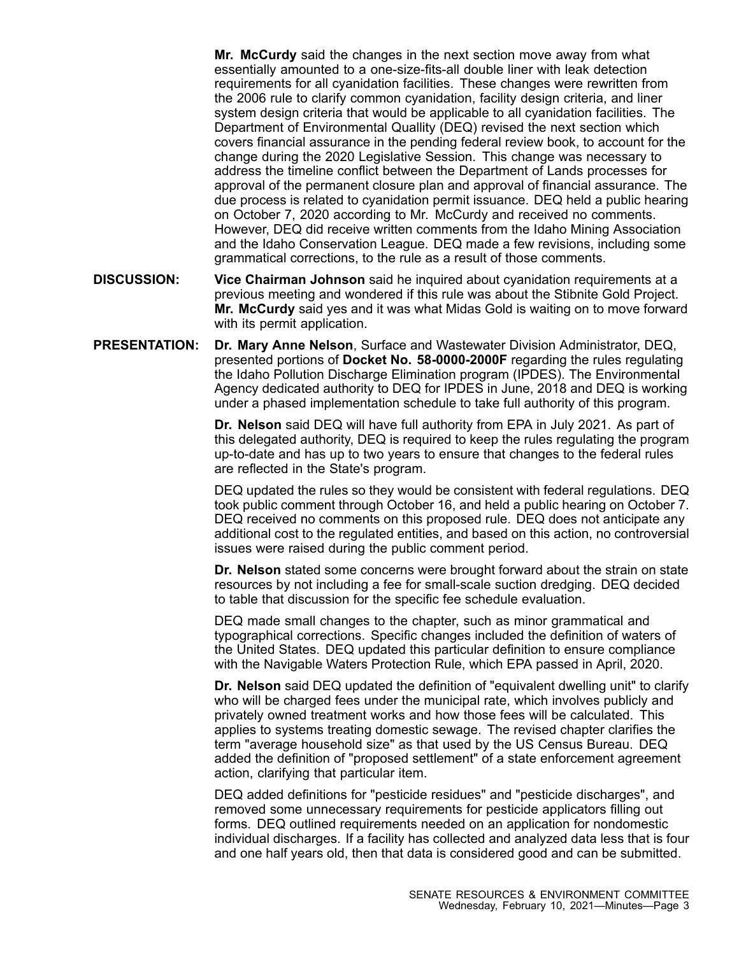**Mr. McCurdy** said the changes in the next section move away from what essentially amounted to <sup>a</sup> one-size-fits-all double liner with leak detection requirements for all cyanidation facilities. These changes were rewritten from the 2006 rule to clarify common cyanidation, facility design criteria, and liner system design criteria that would be applicable to all cyanidation facilities. The Department of Environmental Quallity (DEQ) revised the next section which covers financial assurance in the pending federal review book, to account for the change during the 2020 Legislative Session. This change was necessary to address the timeline conflict between the Department of Lands processes for approval of the permanent closure plan and approval of financial assurance. The due process is related to cyanidation permit issuance. DEQ held <sup>a</sup> public hearing on October 7, 2020 according to Mr. McCurdy and received no comments. However, DEQ did receive written comments from the Idaho Mining Association and the Idaho Conservation League. DEQ made <sup>a</sup> few revisions, including some grammatical corrections, to the rule as <sup>a</sup> result of those comments.

- **DISCUSSION: Vice Chairman Johnson** said he inquired about cyanidation requirements at <sup>a</sup> previous meeting and wondered if this rule was about the Stibnite Gold Project. **Mr. McCurdy** said yes and it was what Midas Gold is waiting on to move forward with its permit application.
- **PRESENTATION: Dr. Mary Anne Nelson**, Surface and Wastewater Division Administrator, DEQ, presented portions of **Docket No. 58-0000-2000F** regarding the rules regulating the Idaho Pollution Discharge Elimination program (IPDES). The Environmental Agency dedicated authority to DEQ for IPDES in June, 2018 and DEQ is working under <sup>a</sup> phased implementation schedule to take full authority of this program.

**Dr. Nelson** said DEQ will have full authority from EPA in July 2021. As part of this delegated authority, DEQ is required to keep the rules regulating the program up-to-date and has up to two years to ensure that changes to the federal rules are reflected in the State's program.

DEQ updated the rules so they would be consistent with federal regulations. DEQ took public comment through October 16, and held <sup>a</sup> public hearing on October 7. DEQ received no comments on this proposed rule. DEQ does not anticipate any additional cost to the regulated entities, and based on this action, no controversial issues were raised during the public comment period.

**Dr. Nelson** stated some concerns were brought forward about the strain on state resources by not including <sup>a</sup> fee for small-scale suction dredging. DEQ decided to table that discussion for the specific fee schedule evaluation.

DEQ made small changes to the chapter, such as minor grammatical and typographical corrections. Specific changes included the definition of waters of the United States. DEQ updated this particular definition to ensure compliance with the Navigable Waters Protection Rule, which EPA passed in April, 2020.

**Dr. Nelson** said DEQ updated the definition of "equivalent dwelling unit" to clarify who will be charged fees under the municipal rate, which involves publicly and privately owned treatment works and how those fees will be calculated. This applies to systems treating domestic sewage. The revised chapter clarifies the term "average household size" as that used by the US Census Bureau. DEQ added the definition of "proposed settlement" of <sup>a</sup> state enforcement agreement action, clarifying that particular item.

DEQ added definitions for "pesticide residues" and "pesticide discharges", and removed some unnecessary requirements for pesticide applicators filling out forms. DEQ outlined requirements needed on an application for nondomestic individual discharges. If <sup>a</sup> facility has collected and analyzed data less that is four and one half years old, then that data is considered good and can be submitted.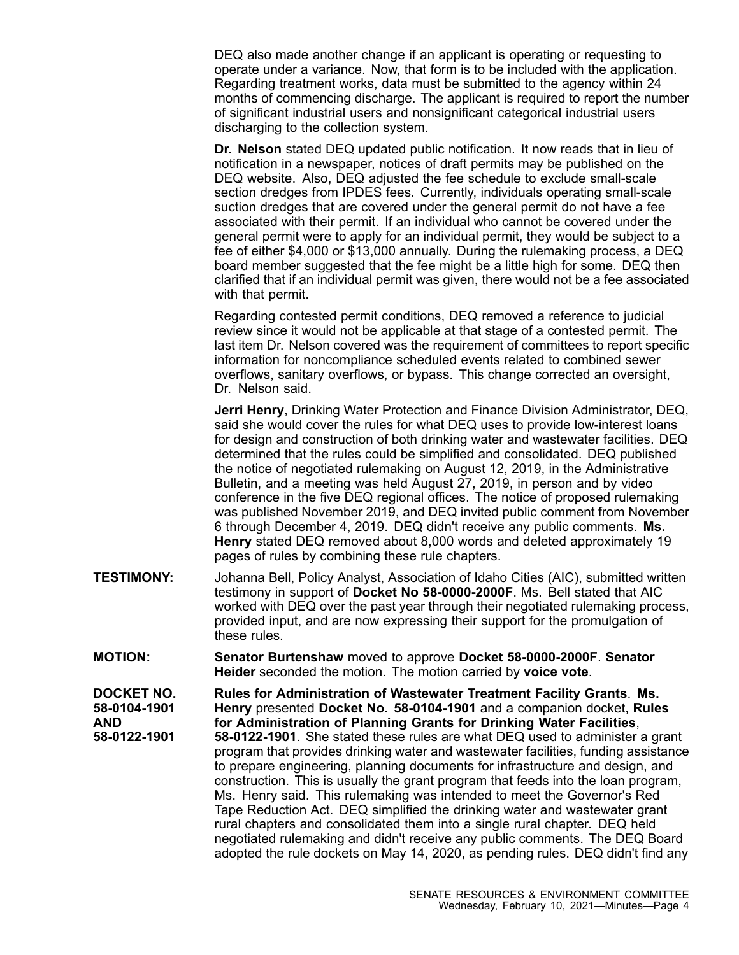DEQ also made another change if an applicant is operating or requesting to operate under <sup>a</sup> variance. Now, that form is to be included with the application. Regarding treatment works, data must be submitted to the agency within 24 months of commencing discharge. The applicant is required to report the number of significant industrial users and nonsignificant categorical industrial users discharging to the collection system.

**Dr. Nelson** stated DEQ updated public notification. It now reads that in lieu of notification in <sup>a</sup> newspaper, notices of draft permits may be published on the DEQ website. Also, DEQ adjusted the fee schedule to exclude small-scale section dredges from IPDES fees. Currently, individuals operating small-scale suction dredges that are covered under the general permit do not have <sup>a</sup> fee associated with their permit. If an individual who cannot be covered under the general permit were to apply for an individual permit, they would be subject to <sup>a</sup> fee of either \$4,000 or \$13,000 annually. During the rulemaking process, <sup>a</sup> DEQ board member suggested that the fee might be <sup>a</sup> little high for some. DEQ then clarified that if an individual permit was given, there would not be <sup>a</sup> fee associated with that permit.

Regarding contested permit conditions, DEQ removed <sup>a</sup> reference to judicial review since it would not be applicable at that stage of <sup>a</sup> contested permit. The last item Dr. Nelson covered was the requirement of committees to report specific information for noncompliance scheduled events related to combined sewer overflows, sanitary overflows, or bypass. This change corrected an oversight, Dr. Nelson said.

**Jerri Henry**, Drinking Water Protection and Finance Division Administrator, DEQ, said she would cover the rules for what DEQ uses to provide low-interest loans for design and construction of both drinking water and wastewater facilities. DEQ determined that the rules could be simplified and consolidated. DEQ published the notice of negotiated rulemaking on August 12, 2019, in the Administrative Bulletin, and <sup>a</sup> meeting was held August 27, 2019, in person and by video conference in the five DEQ regional offices. The notice of proposed rulemaking was published November 2019, and DEQ invited public comment from November 6 through December 4, 2019. DEQ didn't receive any public comments. **Ms. Henry** stated DEQ removed about 8,000 words and deleted approximately 19 pages of rules by combining these rule chapters.

- **TESTIMONY:** Johanna Bell, Policy Analyst, Association of Idaho Cities (AIC), submitted written testimony in support of **Docket No 58-0000-2000F**. Ms. Bell stated that AIC worked with DEQ over the past year through their negotiated rulemaking process, provided input, and are now expressing their support for the promulgation of these rules.
- **MOTION: Senator Burtenshaw** moved to approve **Docket 58-0000-2000F**. **Senator Heider** seconded the motion. The motion carried by **voice vote**.

**DOCKET NO. 58-0104-1901 AND 58-0122-1901**

**Rules for Administration of Wastewater Treatment Facility Grants**. **Ms. Henry** presented **Docket No. 58-0104-1901** and <sup>a</sup> companion docket, **Rules for Administration of Planning Grants for Drinking Water Facilities**, **58-0122-1901**. She stated these rules are what DEQ used to administer <sup>a</sup> grant program that provides drinking water and wastewater facilities, funding assistance to prepare engineering, planning documents for infrastructure and design, and construction. This is usually the grant program that feeds into the loan program, Ms. Henry said. This rulemaking was intended to meet the Governor's Red Tape Reduction Act. DEQ simplified the drinking water and wastewater grant rural chapters and consolidated them into <sup>a</sup> single rural chapter. DEQ held negotiated rulemaking and didn't receive any public comments. The DEQ Board adopted the rule dockets on May 14, 2020, as pending rules. DEQ didn't find any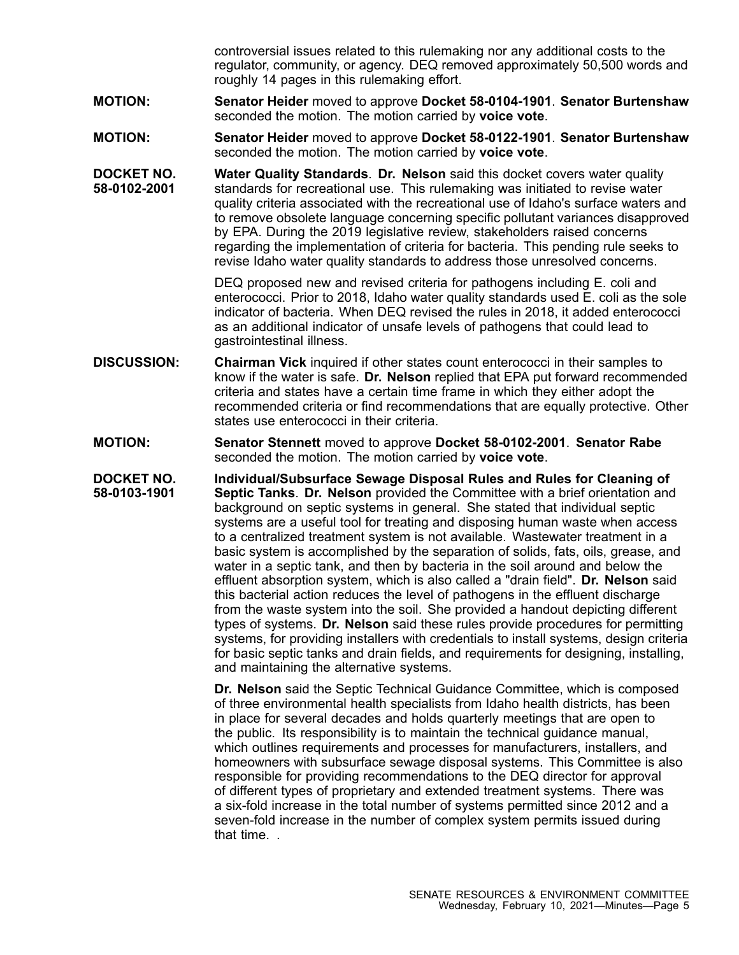controversial issues related to this rulemaking nor any additional costs to the regulator, community, or agency. DEQ removed approximately 50,500 words and roughly 14 pages in this rulemaking effort.

- **MOTION: Senator Heider** moved to approve **Docket 58-0104-1901**. **Senator Burtenshaw** seconded the motion. The motion carried by **voice vote**.
- **MOTION: Senator Heider** moved to approve **Docket 58-0122-1901**. **Senator Burtenshaw** seconded the motion. The motion carried by **voice vote**.
- **DOCKET NO. 58-0102-2001 Water Quality Standards**. **Dr. Nelson** said this docket covers water quality standards for recreational use. This rulemaking was initiated to revise water quality criteria associated with the recreational use of Idaho's surface waters and to remove obsolete language concerning specific pollutant variances disapproved by EPA. During the 2019 legislative review, stakeholders raised concerns regarding the implementation of criteria for bacteria. This pending rule seeks to revise Idaho water quality standards to address those unresolved concerns.

DEQ proposed new and revised criteria for pathogens including E. coli and enterococci. Prior to 2018, Idaho water quality standards used E. coli as the sole indicator of bacteria. When DEQ revised the rules in 2018, it added enterococci as an additional indicator of unsafe levels of pathogens that could lead to gastrointestinal illness.

- **DISCUSSION: Chairman Vick** inquired if other states count enterococci in their samples to know if the water is safe. **Dr. Nelson** replied that EPA put forward recommended criteria and states have <sup>a</sup> certain time frame in which they either adopt the recommended criteria or find recommendations that are equally protective. Other states use enterococci in their criteria.
- **MOTION: Senator Stennett** moved to approve **Docket 58-0102-2001**. **Senator Rabe** seconded the motion. The motion carried by **voice vote**.

**DOCKET NO. 58-0103-1901 Individual/Subsurface Sewage Disposal Rules and Rules for Cleaning of Septic Tanks**. **Dr. Nelson** provided the Committee with <sup>a</sup> brief orientation and background on septic systems in general. She stated that individual septic systems are <sup>a</sup> useful tool for treating and disposing human waste when access to <sup>a</sup> centralized treatment system is not available. Wastewater treatment in <sup>a</sup> basic system is accomplished by the separation of solids, fats, oils, grease, and water in <sup>a</sup> septic tank, and then by bacteria in the soil around and below the effluent absorption system, which is also called <sup>a</sup> "drain field". **Dr. Nelson** said this bacterial action reduces the level of pathogens in the effluent discharge from the waste system into the soil. She provided <sup>a</sup> handout depicting different types of systems. **Dr. Nelson** said these rules provide procedures for permitting systems, for providing installers with credentials to install systems, design criteria for basic septic tanks and drain fields, and requirements for designing, installing, and maintaining the alternative systems.

> **Dr. Nelson** said the Septic Technical Guidance Committee, which is composed of three environmental health specialists from Idaho health districts, has been in place for several decades and holds quarterly meetings that are open to the public. Its responsibility is to maintain the technical guidance manual, which outlines requirements and processes for manufacturers, installers, and homeowners with subsurface sewage disposal systems. This Committee is also responsible for providing recommendations to the DEQ director for approval of different types of proprietary and extended treatment systems. There was <sup>a</sup> six-fold increase in the total number of systems permitted since 2012 and <sup>a</sup> seven-fold increase in the number of complex system permits issued during that time. .